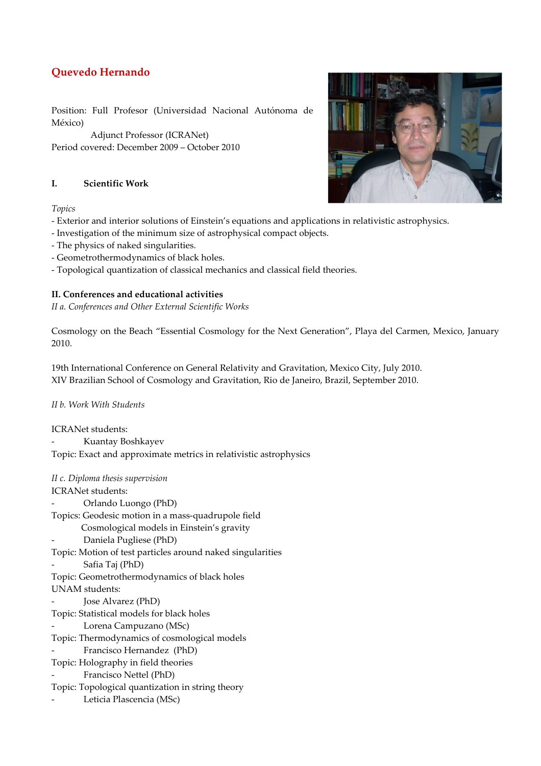# **Quevedo Hernando**

Position: Full Profesor (Universidad Nacional Autónoma de México)

 Adjunct Professor (ICRANet) Period covered: December 2009 – October 2010

## **I. Scientific Work**

#### *Topics*

- Exterior and interior solutions of Einstein's equations and applications in relativistic astrophysics.
- Investigation of the minimum size of astrophysical compact objects.
- The physics of naked singularities.
- Geometrothermodynamics of black holes.
- Topological quantization of classical mechanics and classical field theories.

## **II. Conferences and educational activities**

*II a. Conferences and Other External Scientific Works* 

Cosmology on the Beach "Essential Cosmology for the Next Generation", Playa del Carmen, Mexico, January 2010.

19th International Conference on General Relativity and Gravitation, Mexico City, July 2010. XIV Brazilian School of Cosmology and Gravitation, Rio de Janeiro, Brazil, September 2010.

#### *II b. Work With Students*

ICRANet students:

- Kuantay Boshkayev

Topic: Exact and approximate metrics in relativistic astrophysics

*II c. Diploma thesis supervision*  ICRANet students:

- Orlando Luongo (PhD)

Topics: Geodesic motion in a mass-quadrupole field

Cosmological models in Einstein's gravity

Daniela Pugliese (PhD)

Topic: Motion of test particles around naked singularities

- Safia Taj (PhD)

Topic: Geometrothermodynamics of black holes

- UNAM students:
- Jose Alvarez (PhD)

Topic: Statistical models for black holes

Lorena Campuzano (MSc)

Topic: Thermodynamics of cosmological models

Francisco Hernandez (PhD)

Topic: Holography in field theories

Francisco Nettel (PhD)

Topic: Topological quantization in string theory

Leticia Plascencia (MSc)